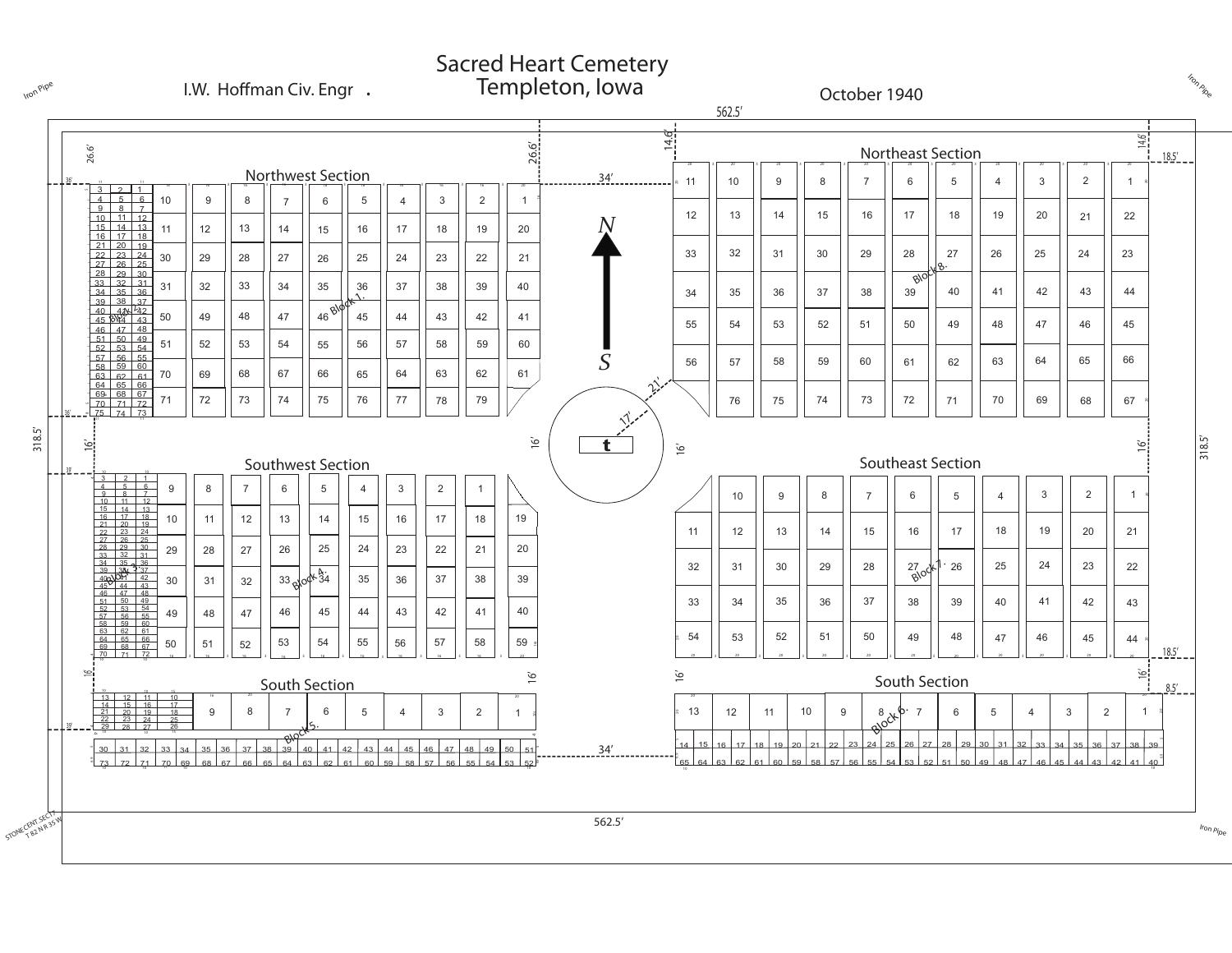